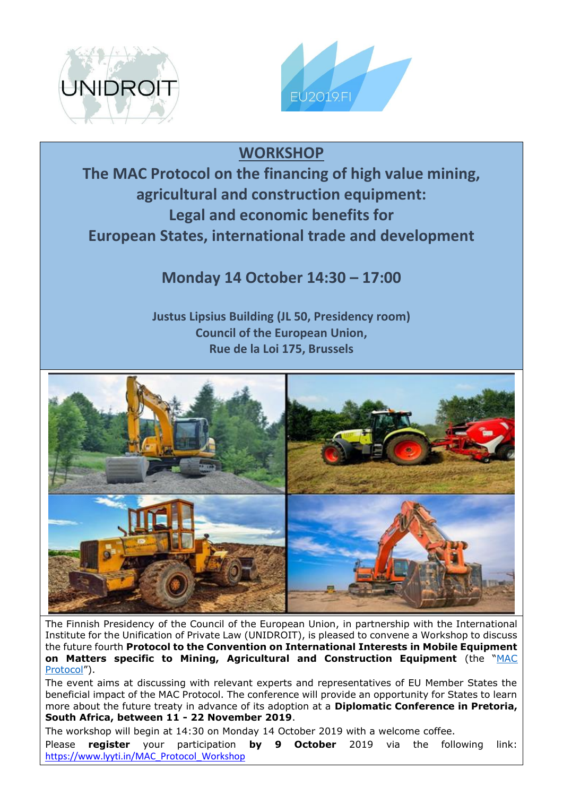



## **WORKSHOP**

**The MAC Protocol on the financing of high value mining, agricultural and construction equipment: Legal and economic benefits for European States, international trade and development**

## **Monday 14 October 14:30 – 17:00**

**Justus Lipsius Building (JL 50, Presidency room) Council of the European Union, Rue de la Loi 175, Brussels**



The Finnish Presidency of the Council of the European Union, in partnership with the International Institute for the Unification of Private Law (UNIDROIT), is pleased to convene a Workshop to discuss the future fourth **Protocol to the Convention on International Interests in Mobile Equipment on Matters specific to Mining, Agricultural and Construction Equipment** (the "[MAC](https://www.unidroit.org/work-in-progress/mac-protocol)  [Protocol](https://www.unidroit.org/work-in-progress/mac-protocol)").

The event aims at discussing with relevant experts and representatives of EU Member States the beneficial impact of the MAC Protocol. The conference will provide an opportunity for States to learn more about the future treaty in advance of its adoption at a **Diplomatic Conference in Pretoria, South Africa, between 11 - 22 November 2019**.

The workshop will begin at 14:30 on Monday 14 October 2019 with a welcome coffee.

Please **register** your participation **by 9 October** 2019 via the following link: [https://www.lyyti.in/MAC\\_Protocol\\_Workshop](https://www.lyyti.in/MAC_Protocol_Workshop)